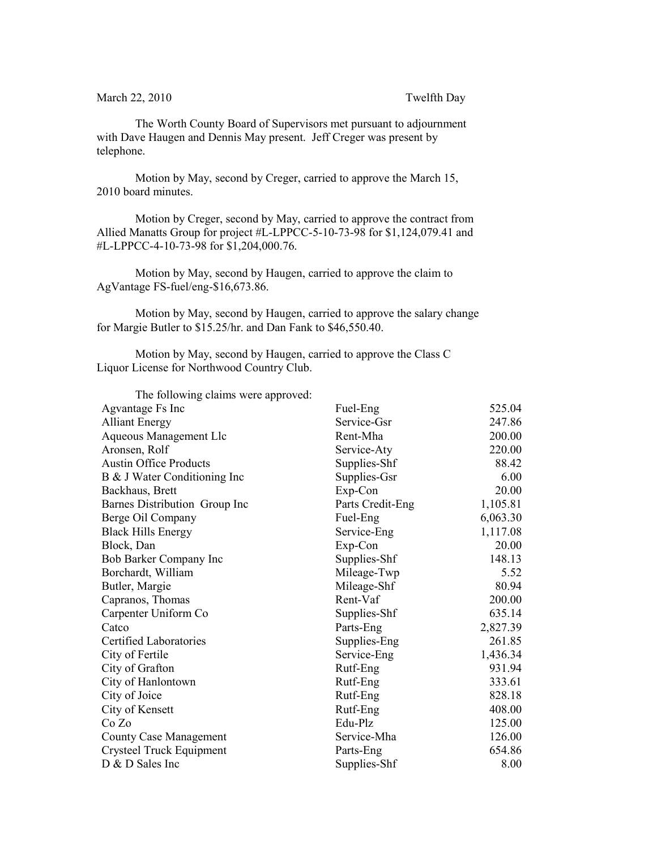March 22, 2010 Twelfth Day

The Worth County Board of Supervisors met pursuant to adjournment with Dave Haugen and Dennis May present. Jeff Creger was present by telephone.

Motion by May, second by Creger, carried to approve the March 15, 2010 board minutes.

Motion by Creger, second by May, carried to approve the contract from Allied Manatts Group for project #L-LPPCC-5-10-73-98 for \$1,124,079.41 and #L-LPPCC-4-10-73-98 for \$1,204,000.76.

Motion by May, second by Haugen, carried to approve the claim to AgVantage FS-fuel/eng-\$16,673.86.

Motion by May, second by Haugen, carried to approve the salary change for Margie Butler to \$15.25/hr. and Dan Fank to \$46,550.40.

Motion by May, second by Haugen, carried to approve the Class C Liquor License for Northwood Country Club.

The following claims were approved: Agvantage Fs Inc Fuel-Eng Fuel-Eng 525.04 Alliant Energy Service-Gsr 247.86 Aqueous Management Llc Rent-Mha 200.00 Aronsen, Rolf Service-Aty 220.00 Austin Office Products Supplies-Shf 88.42 B & J Water Conditioning Inc Supplies-Gsr 6.00 Backhaus, Brett Exp-Con 20.00 Barnes Distribution Group Inc Parts Credit-Eng 1,105.81 Berge Oil Company Fuel-Eng 6,063.30 Black Hills Energy Service-Eng 1,117.08 Block, Dan Exp-Con 20.00 Bob Barker Company Inc Supplies-Shf 148.13 Borchardt, William Mileage-Twp 5.52 Butler, Margie Mileage-Shf 80.94 Capranos, Thomas Rent-Vaf 200.00 Carpenter Uniform Co Supplies-Shf 635.14 Catco Parts-Eng 2,827.39 Certified Laboratories Supplies-Eng 261.85 City of Fertile Service-Eng 1,436.34 City of Grafton **Rutf-Eng** 931.94 City of Hanlontown Rutf-Eng 333.61 City of Joice **Rutf-Eng** 828.18 City of Kensett **Rutf-Eng** 408.00  $Co Zo$  Edu-Plz  $125.00$ County Case Management Service-Mha 126.00 Crysteel Truck Equipment Parts-Eng 654.86 D & D Sales Inc Supplies-Shf 8.00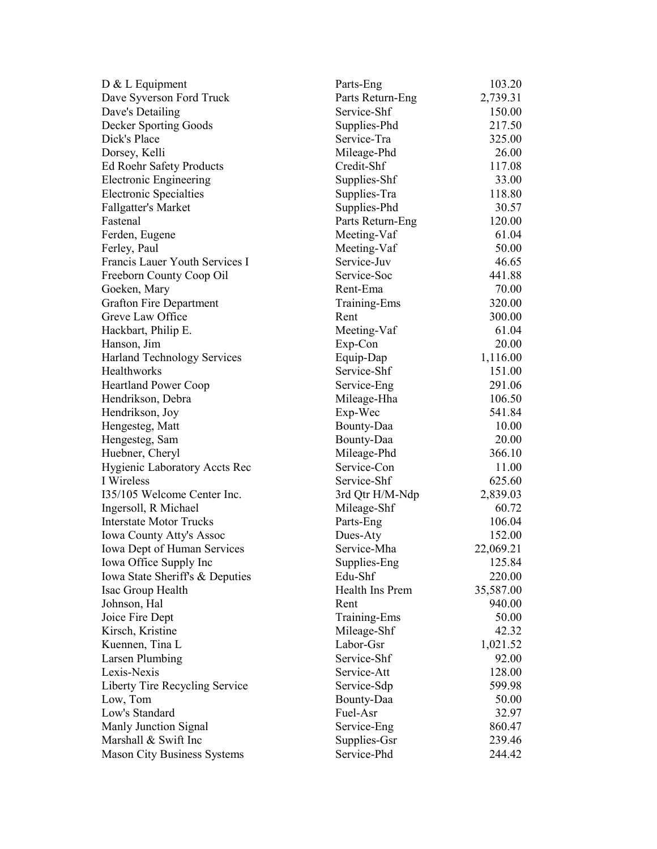| D & L Equipment                      | Parts-Eng        | 103.20    |
|--------------------------------------|------------------|-----------|
| Dave Syverson Ford Truck             | Parts Return-Eng | 2,739.31  |
| Dave's Detailing                     | Service-Shf      | 150.00    |
| Decker Sporting Goods                | Supplies-Phd     | 217.50    |
| Dick's Place                         | Service-Tra      | 325.00    |
| Dorsey, Kelli                        | Mileage-Phd      | 26.00     |
| <b>Ed Roehr Safety Products</b>      | Credit-Shf       | 117.08    |
| <b>Electronic Engineering</b>        | Supplies-Shf     | 33.00     |
| <b>Electronic Specialties</b>        | Supplies-Tra     | 118.80    |
| <b>Fallgatter's Market</b>           | Supplies-Phd     | 30.57     |
| Fastenal                             | Parts Return-Eng | 120.00    |
| Ferden, Eugene                       | Meeting-Vaf      | 61.04     |
| Ferley, Paul                         | Meeting-Vaf      | 50.00     |
| Francis Lauer Youth Services I       | Service-Juv      | 46.65     |
| Freeborn County Coop Oil             | Service-Soc      | 441.88    |
| Goeken, Mary                         | Rent-Ema         | 70.00     |
| <b>Grafton Fire Department</b>       | Training-Ems     | 320.00    |
| Greve Law Office                     | Rent             | 300.00    |
| Hackbart, Philip E.                  | Meeting-Vaf      | 61.04     |
| Hanson, Jim                          | Exp-Con          | 20.00     |
| Harland Technology Services          | Equip-Dap        | 1,116.00  |
| <b>Healthworks</b>                   | Service-Shf      | 151.00    |
| <b>Heartland Power Coop</b>          | Service-Eng      | 291.06    |
| Hendrikson, Debra                    | Mileage-Hha      | 106.50    |
| Hendrikson, Joy                      | Exp-Wec          | 541.84    |
| Hengesteg, Matt                      | Bounty-Daa       | 10.00     |
| Hengesteg, Sam                       | Bounty-Daa       | 20.00     |
| Huebner, Cheryl                      | Mileage-Phd      | 366.10    |
| <b>Hygienic Laboratory Accts Rec</b> | Service-Con      | 11.00     |
| I Wireless                           | Service-Shf      | 625.60    |
| 135/105 Welcome Center Inc.          | 3rd Qtr H/M-Ndp  | 2,839.03  |
| Ingersoll, R Michael                 | Mileage-Shf      | 60.72     |
| <b>Interstate Motor Trucks</b>       | Parts-Eng        | 106.04    |
| Iowa County Atty's Assoc             | Dues-Aty         | 152.00    |
| Iowa Dept of Human Services          | Service-Mha      | 22,069.21 |
| Iowa Office Supply Inc               | Supplies-Eng     | 125.84    |
| Iowa State Sheriff's & Deputies      | Edu-Shf          | 220.00    |
| Isac Group Health                    | Health Ins Prem  | 35,587.00 |
| Johnson, Hal                         | Rent             | 940.00    |
| Joice Fire Dept                      | Training-Ems     | 50.00     |
| Kirsch, Kristine                     | Mileage-Shf      | 42.32     |
| Kuennen, Tina L                      | Labor-Gsr        | 1,021.52  |
| <b>Larsen Plumbing</b>               | Service-Shf      | 92.00     |
| Lexis-Nexis                          | Service-Att      | 128.00    |
| Liberty Tire Recycling Service       | Service-Sdp      | 599.98    |
| Low, Tom                             | Bounty-Daa       | 50.00     |
| Low's Standard                       | Fuel-Asr         | 32.97     |
| Manly Junction Signal                | Service-Eng      | 860.47    |
| Marshall & Swift Inc                 | Supplies-Gsr     | 239.46    |
| <b>Mason City Business Systems</b>   | Service-Phd      | 244.42    |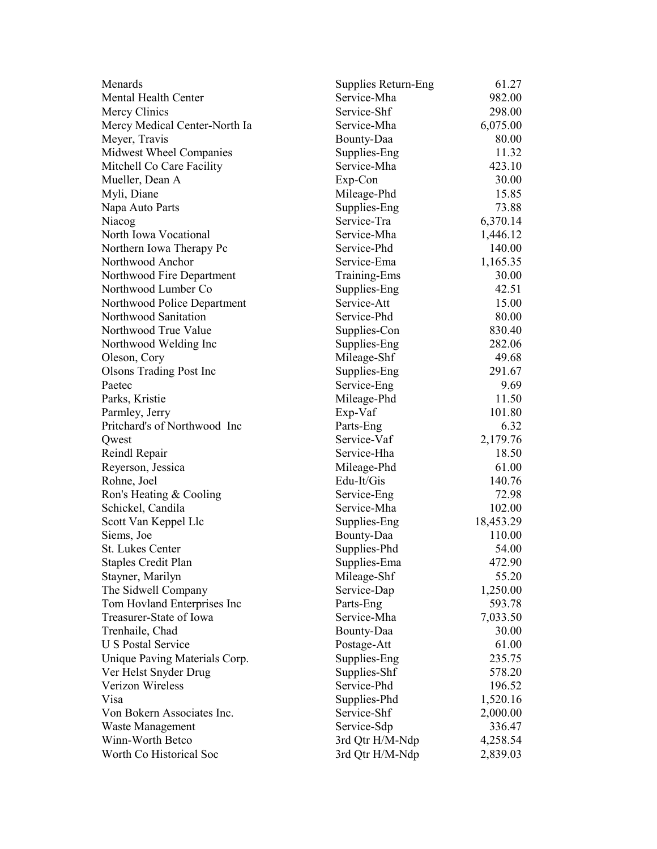| Menards                        | Supplies Return-Eng | 61.27     |
|--------------------------------|---------------------|-----------|
| <b>Mental Health Center</b>    | Service-Mha         | 982.00    |
| Mercy Clinics                  | Service-Shf         | 298.00    |
| Mercy Medical Center-North Ia  | Service-Mha         | 6,075.00  |
| Meyer, Travis                  | Bounty-Daa          | 80.00     |
| Midwest Wheel Companies        | Supplies-Eng        | 11.32     |
| Mitchell Co Care Facility      | Service-Mha         | 423.10    |
| Mueller, Dean A                | Exp-Con             | 30.00     |
| Myli, Diane                    | Mileage-Phd         | 15.85     |
| Napa Auto Parts                | Supplies-Eng        | 73.88     |
| Niacog                         | Service-Tra         | 6,370.14  |
| North Iowa Vocational          | Service-Mha         | 1,446.12  |
| Northern Iowa Therapy Pc       | Service-Phd         | 140.00    |
| Northwood Anchor               | Service-Ema         | 1,165.35  |
| Northwood Fire Department      | Training-Ems        | 30.00     |
| Northwood Lumber Co            | Supplies-Eng        | 42.51     |
| Northwood Police Department    | Service-Att         | 15.00     |
| Northwood Sanitation           | Service-Phd         | 80.00     |
| Northwood True Value           | Supplies-Con        | 830.40    |
| Northwood Welding Inc          | Supplies-Eng        | 282.06    |
| Oleson, Cory                   | Mileage-Shf         | 49.68     |
| <b>Olsons Trading Post Inc</b> | Supplies-Eng        | 291.67    |
| Paetec                         | Service-Eng         | 9.69      |
| Parks, Kristie                 | Mileage-Phd         | 11.50     |
| Parmley, Jerry                 | Exp-Vaf             | 101.80    |
| Pritchard's of Northwood Inc   | Parts-Eng           | 6.32      |
| Qwest                          | Service-Vaf         | 2,179.76  |
| Reindl Repair                  | Service-Hha         | 18.50     |
| Reyerson, Jessica              | Mileage-Phd         | 61.00     |
| Rohne, Joel                    | Edu-It/Gis          | 140.76    |
| Ron's Heating & Cooling        | Service-Eng         | 72.98     |
| Schickel, Candila              | Service-Mha         | 102.00    |
| Scott Van Keppel Llc           | Supplies-Eng        | 18,453.29 |
| Siems, Joe                     | Bounty-Daa          | 110.00    |
| <b>St. Lukes Center</b>        | Supplies-Phd        | 54.00     |
| <b>Staples Credit Plan</b>     | Supplies-Ema        | 472.90    |
| Stayner, Marilyn               | Mileage-Shf         | 55.20     |
| The Sidwell Company            | Service-Dap         | 1,250.00  |
| Tom Hovland Enterprises Inc    | Parts-Eng           | 593.78    |
| Treasurer-State of Iowa        | Service-Mha         | 7,033.50  |
| Trenhaile, Chad                | Bounty-Daa          | 30.00     |
| <b>U S Postal Service</b>      | Postage-Att         | 61.00     |
| Unique Paving Materials Corp.  | Supplies-Eng        | 235.75    |
| Ver Helst Snyder Drug          | Supplies-Shf        | 578.20    |
| Verizon Wireless               | Service-Phd         | 196.52    |
| Visa                           | Supplies-Phd        | 1,520.16  |
| Von Bokern Associates Inc.     | Service-Shf         | 2,000.00  |
| Waste Management               | Service-Sdp         | 336.47    |
| Winn-Worth Betco               | 3rd Qtr H/M-Ndp     | 4,258.54  |
| Worth Co Historical Soc        | 3rd Qtr H/M-Ndp     | 2,839.03  |